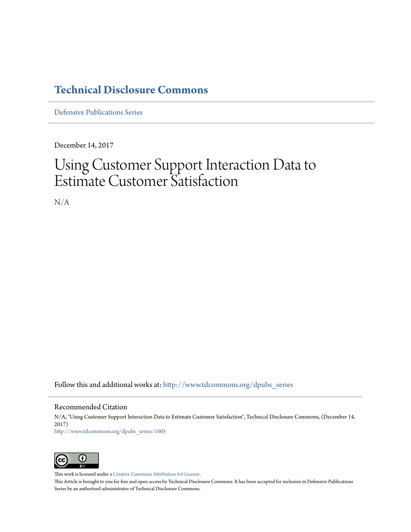### **[Technical Disclosure Commons](http://www.tdcommons.org?utm_source=www.tdcommons.org%2Fdpubs_series%2F1005&utm_medium=PDF&utm_campaign=PDFCoverPages)**

[Defensive Publications Series](http://www.tdcommons.org/dpubs_series?utm_source=www.tdcommons.org%2Fdpubs_series%2F1005&utm_medium=PDF&utm_campaign=PDFCoverPages)

December 14, 2017

## Using Customer Support Interaction Data to Estimate Customer Satisfaction

N/A

Follow this and additional works at: [http://www.tdcommons.org/dpubs\\_series](http://www.tdcommons.org/dpubs_series?utm_source=www.tdcommons.org%2Fdpubs_series%2F1005&utm_medium=PDF&utm_campaign=PDFCoverPages)

#### Recommended Citation

N/A, "Using Customer Support Interaction Data to Estimate Customer Satisfaction", Technical Disclosure Commons, (December 14, 2017) [http://www.tdcommons.org/dpubs\\_series/1005](http://www.tdcommons.org/dpubs_series/1005?utm_source=www.tdcommons.org%2Fdpubs_series%2F1005&utm_medium=PDF&utm_campaign=PDFCoverPages)



This work is licensed under a [Creative Commons Attribution 4.0 License.](http://creativecommons.org/licenses/by/4.0/deed.en_US)

This Article is brought to you for free and open access by Technical Disclosure Commons. It has been accepted for inclusion in Defensive Publications Series by an authorized administrator of Technical Disclosure Commons.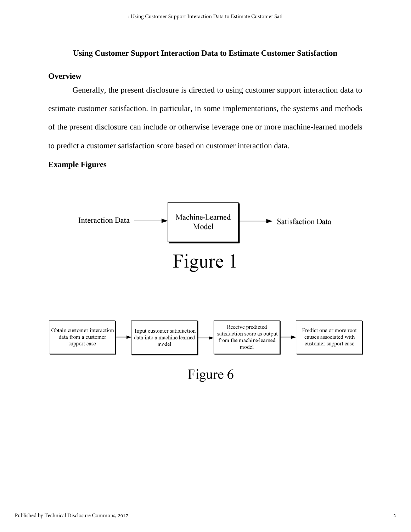#### **Using Customer Support Interaction Data to Estimate Customer Satisfaction**

#### **Overview**

Generally, the present disclosure is directed to using customer support interaction data to estimate customer satisfaction. In particular, in some implementations, the systems and methods of the present disclosure can include or otherwise leverage one or more machine-learned models to predict a customer satisfaction score based on customer interaction data.

#### **Example Figures**

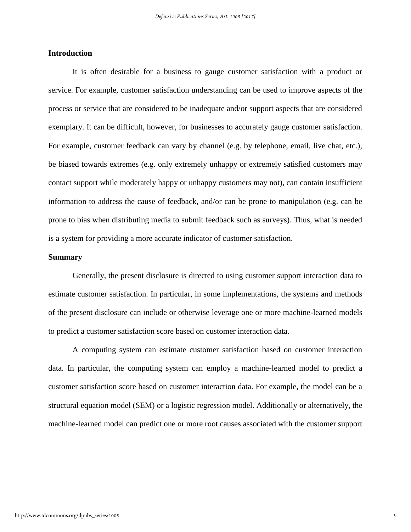#### **Introduction**

It is often desirable for a business to gauge customer satisfaction with a product or service. For example, customer satisfaction understanding can be used to improve aspects of the process or service that are considered to be inadequate and/or support aspects that are considered exemplary. It can be difficult, however, for businesses to accurately gauge customer satisfaction. For example, customer feedback can vary by channel (e.g. by telephone, email, live chat, etc.), be biased towards extremes (e.g. only extremely unhappy or extremely satisfied customers may contact support while moderately happy or unhappy customers may not), can contain insufficient information to address the cause of feedback, and/or can be prone to manipulation (e.g. can be prone to bias when distributing media to submit feedback such as surveys). Thus, what is needed is a system for providing a more accurate indicator of customer satisfaction.

#### **Summary**

Generally, the present disclosure is directed to using customer support interaction data to estimate customer satisfaction. In particular, in some implementations, the systems and methods of the present disclosure can include or otherwise leverage one or more machine-learned models to predict a customer satisfaction score based on customer interaction data.

A computing system can estimate customer satisfaction based on customer interaction data. In particular, the computing system can employ a machine-learned model to predict a customer satisfaction score based on customer interaction data. For example, the model can be a structural equation model (SEM) or a logistic regression model. Additionally or alternatively, the machine-learned model can predict one or more root causes associated with the customer support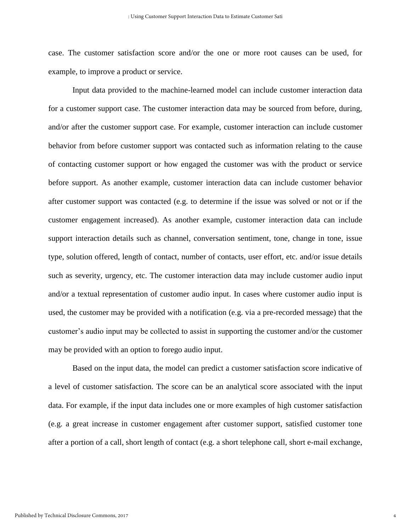case. The customer satisfaction score and/or the one or more root causes can be used, for example, to improve a product or service.

Input data provided to the machine-learned model can include customer interaction data for a customer support case. The customer interaction data may be sourced from before, during, and/or after the customer support case. For example, customer interaction can include customer behavior from before customer support was contacted such as information relating to the cause of contacting customer support or how engaged the customer was with the product or service before support. As another example, customer interaction data can include customer behavior after customer support was contacted (e.g. to determine if the issue was solved or not or if the customer engagement increased). As another example, customer interaction data can include support interaction details such as channel, conversation sentiment, tone, change in tone, issue type, solution offered, length of contact, number of contacts, user effort, etc. and/or issue details such as severity, urgency, etc. The customer interaction data may include customer audio input and/or a textual representation of customer audio input. In cases where customer audio input is used, the customer may be provided with a notification (e.g. via a pre-recorded message) that the customer's audio input may be collected to assist in supporting the customer and/or the customer may be provided with an option to forego audio input.

Based on the input data, the model can predict a customer satisfaction score indicative of a level of customer satisfaction. The score can be an analytical score associated with the input data. For example, if the input data includes one or more examples of high customer satisfaction (e.g. a great increase in customer engagement after customer support, satisfied customer tone after a portion of a call, short length of contact (e.g. a short telephone call, short e-mail exchange,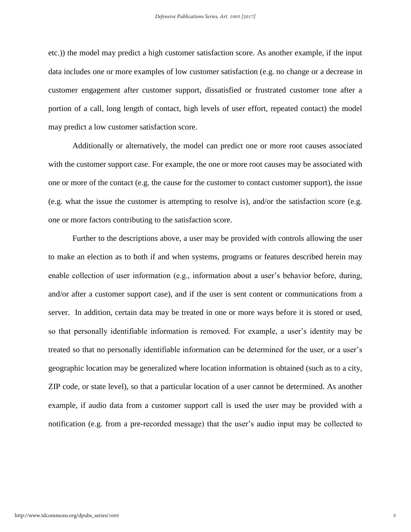etc.)) the model may predict a high customer satisfaction score. As another example, if the input data includes one or more examples of low customer satisfaction (e.g. no change or a decrease in customer engagement after customer support, dissatisfied or frustrated customer tone after a portion of a call, long length of contact, high levels of user effort, repeated contact) the model may predict a low customer satisfaction score.

Additionally or alternatively, the model can predict one or more root causes associated with the customer support case. For example, the one or more root causes may be associated with one or more of the contact (e.g. the cause for the customer to contact customer support), the issue (e.g. what the issue the customer is attempting to resolve is), and/or the satisfaction score (e.g. one or more factors contributing to the satisfaction score.

Further to the descriptions above, a user may be provided with controls allowing the user to make an election as to both if and when systems, programs or features described herein may enable collection of user information (e.g., information about a user's behavior before, during, and/or after a customer support case), and if the user is sent content or communications from a server. In addition, certain data may be treated in one or more ways before it is stored or used, so that personally identifiable information is removed. For example, a user's identity may be treated so that no personally identifiable information can be determined for the user, or a user's geographic location may be generalized where location information is obtained (such as to a city, ZIP code, or state level), so that a particular location of a user cannot be determined. As another example, if audio data from a customer support call is used the user may be provided with a notification (e.g. from a pre-recorded message) that the user's audio input may be collected to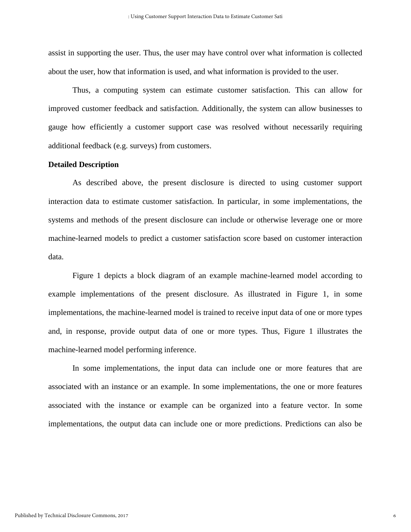assist in supporting the user. Thus, the user may have control over what information is collected about the user, how that information is used, and what information is provided to the user.

Thus, a computing system can estimate customer satisfaction. This can allow for improved customer feedback and satisfaction. Additionally, the system can allow businesses to gauge how efficiently a customer support case was resolved without necessarily requiring additional feedback (e.g. surveys) from customers.

#### **Detailed Description**

As described above, the present disclosure is directed to using customer support interaction data to estimate customer satisfaction. In particular, in some implementations, the systems and methods of the present disclosure can include or otherwise leverage one or more machine-learned models to predict a customer satisfaction score based on customer interaction data.

Figure 1 depicts a block diagram of an example machine-learned model according to example implementations of the present disclosure. As illustrated in Figure 1, in some implementations, the machine-learned model is trained to receive input data of one or more types and, in response, provide output data of one or more types. Thus, Figure 1 illustrates the machine-learned model performing inference.

In some implementations, the input data can include one or more features that are associated with an instance or an example. In some implementations, the one or more features associated with the instance or example can be organized into a feature vector. In some implementations, the output data can include one or more predictions. Predictions can also be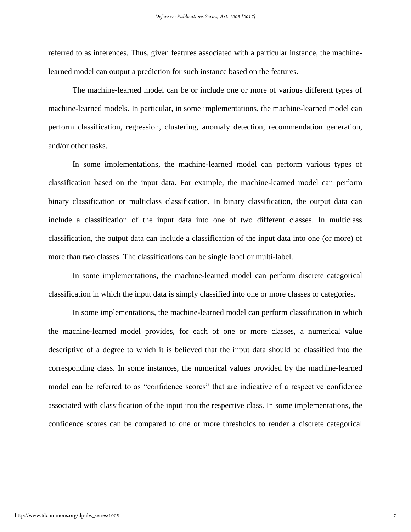referred to as inferences. Thus, given features associated with a particular instance, the machinelearned model can output a prediction for such instance based on the features.

The machine-learned model can be or include one or more of various different types of machine-learned models. In particular, in some implementations, the machine-learned model can perform classification, regression, clustering, anomaly detection, recommendation generation, and/or other tasks.

In some implementations, the machine-learned model can perform various types of classification based on the input data. For example, the machine-learned model can perform binary classification or multiclass classification. In binary classification, the output data can include a classification of the input data into one of two different classes. In multiclass classification, the output data can include a classification of the input data into one (or more) of more than two classes. The classifications can be single label or multi-label.

In some implementations, the machine-learned model can perform discrete categorical classification in which the input data is simply classified into one or more classes or categories.

In some implementations, the machine-learned model can perform classification in which the machine-learned model provides, for each of one or more classes, a numerical value descriptive of a degree to which it is believed that the input data should be classified into the corresponding class. In some instances, the numerical values provided by the machine-learned model can be referred to as "confidence scores" that are indicative of a respective confidence associated with classification of the input into the respective class. In some implementations, the confidence scores can be compared to one or more thresholds to render a discrete categorical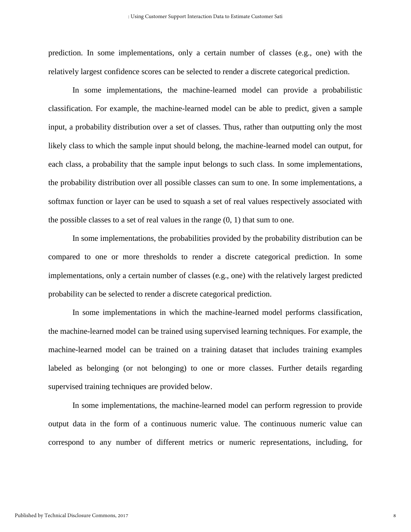prediction. In some implementations, only a certain number of classes (e.g., one) with the relatively largest confidence scores can be selected to render a discrete categorical prediction.

In some implementations, the machine-learned model can provide a probabilistic classification. For example, the machine-learned model can be able to predict, given a sample input, a probability distribution over a set of classes. Thus, rather than outputting only the most likely class to which the sample input should belong, the machine-learned model can output, for each class, a probability that the sample input belongs to such class. In some implementations, the probability distribution over all possible classes can sum to one. In some implementations, a softmax function or layer can be used to squash a set of real values respectively associated with the possible classes to a set of real values in the range  $(0, 1)$  that sum to one.

In some implementations, the probabilities provided by the probability distribution can be compared to one or more thresholds to render a discrete categorical prediction. In some implementations, only a certain number of classes (e.g., one) with the relatively largest predicted probability can be selected to render a discrete categorical prediction.

In some implementations in which the machine-learned model performs classification, the machine-learned model can be trained using supervised learning techniques. For example, the machine-learned model can be trained on a training dataset that includes training examples labeled as belonging (or not belonging) to one or more classes. Further details regarding supervised training techniques are provided below.

In some implementations, the machine-learned model can perform regression to provide output data in the form of a continuous numeric value. The continuous numeric value can correspond to any number of different metrics or numeric representations, including, for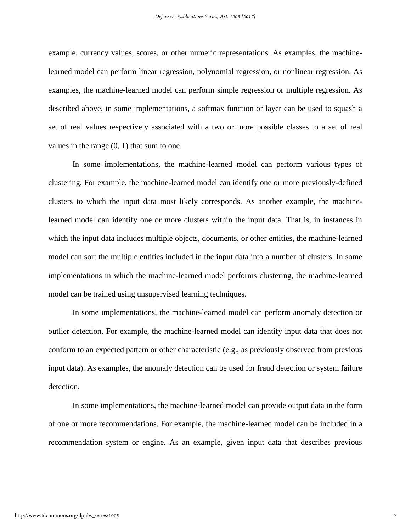example, currency values, scores, or other numeric representations. As examples, the machinelearned model can perform linear regression, polynomial regression, or nonlinear regression. As examples, the machine-learned model can perform simple regression or multiple regression. As described above, in some implementations, a softmax function or layer can be used to squash a set of real values respectively associated with a two or more possible classes to a set of real values in the range (0, 1) that sum to one.

In some implementations, the machine-learned model can perform various types of clustering. For example, the machine-learned model can identify one or more previously-defined clusters to which the input data most likely corresponds. As another example, the machinelearned model can identify one or more clusters within the input data. That is, in instances in which the input data includes multiple objects, documents, or other entities, the machine-learned model can sort the multiple entities included in the input data into a number of clusters. In some implementations in which the machine-learned model performs clustering, the machine-learned model can be trained using unsupervised learning techniques.

In some implementations, the machine-learned model can perform anomaly detection or outlier detection. For example, the machine-learned model can identify input data that does not conform to an expected pattern or other characteristic (e.g., as previously observed from previous input data). As examples, the anomaly detection can be used for fraud detection or system failure detection.

In some implementations, the machine-learned model can provide output data in the form of one or more recommendations. For example, the machine-learned model can be included in a recommendation system or engine. As an example, given input data that describes previous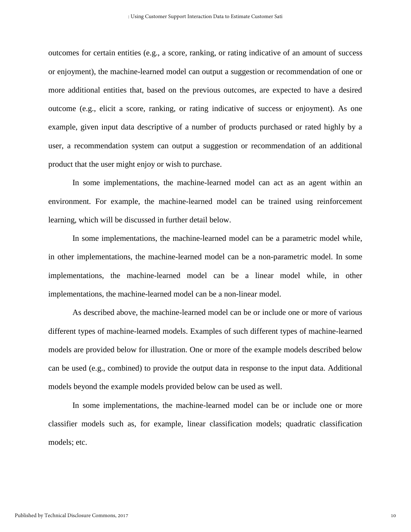outcomes for certain entities (e.g., a score, ranking, or rating indicative of an amount of success or enjoyment), the machine-learned model can output a suggestion or recommendation of one or more additional entities that, based on the previous outcomes, are expected to have a desired outcome (e.g., elicit a score, ranking, or rating indicative of success or enjoyment). As one example, given input data descriptive of a number of products purchased or rated highly by a user, a recommendation system can output a suggestion or recommendation of an additional product that the user might enjoy or wish to purchase.

In some implementations, the machine-learned model can act as an agent within an environment. For example, the machine-learned model can be trained using reinforcement learning, which will be discussed in further detail below.

In some implementations, the machine-learned model can be a parametric model while, in other implementations, the machine-learned model can be a non-parametric model. In some implementations, the machine-learned model can be a linear model while, in other implementations, the machine-learned model can be a non-linear model.

As described above, the machine-learned model can be or include one or more of various different types of machine-learned models. Examples of such different types of machine-learned models are provided below for illustration. One or more of the example models described below can be used (e.g., combined) to provide the output data in response to the input data. Additional models beyond the example models provided below can be used as well.

In some implementations, the machine-learned model can be or include one or more classifier models such as, for example, linear classification models; quadratic classification models; etc.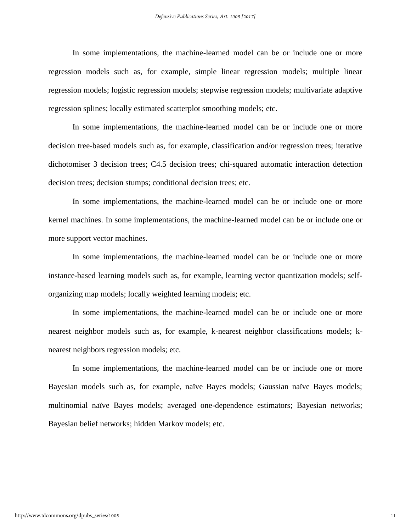In some implementations, the machine-learned model can be or include one or more regression models such as, for example, simple linear regression models; multiple linear regression models; logistic regression models; stepwise regression models; multivariate adaptive regression splines; locally estimated scatterplot smoothing models; etc.

In some implementations, the machine-learned model can be or include one or more decision tree-based models such as, for example, classification and/or regression trees; iterative dichotomiser 3 decision trees; C4.5 decision trees; chi-squared automatic interaction detection decision trees; decision stumps; conditional decision trees; etc.

In some implementations, the machine-learned model can be or include one or more kernel machines. In some implementations, the machine-learned model can be or include one or more support vector machines.

In some implementations, the machine-learned model can be or include one or more instance-based learning models such as, for example, learning vector quantization models; selforganizing map models; locally weighted learning models; etc.

In some implementations, the machine-learned model can be or include one or more nearest neighbor models such as, for example, k-nearest neighbor classifications models; knearest neighbors regression models; etc.

In some implementations, the machine-learned model can be or include one or more Bayesian models such as, for example, naïve Bayes models; Gaussian naïve Bayes models; multinomial naïve Bayes models; averaged one-dependence estimators; Bayesian networks; Bayesian belief networks; hidden Markov models; etc.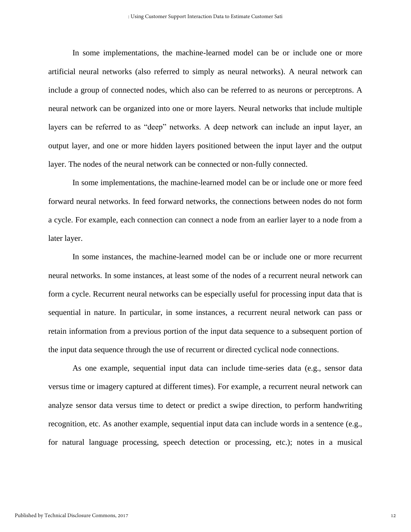In some implementations, the machine-learned model can be or include one or more artificial neural networks (also referred to simply as neural networks). A neural network can include a group of connected nodes, which also can be referred to as neurons or perceptrons. A neural network can be organized into one or more layers. Neural networks that include multiple layers can be referred to as "deep" networks. A deep network can include an input layer, an output layer, and one or more hidden layers positioned between the input layer and the output layer. The nodes of the neural network can be connected or non-fully connected.

In some implementations, the machine-learned model can be or include one or more feed forward neural networks. In feed forward networks, the connections between nodes do not form a cycle. For example, each connection can connect a node from an earlier layer to a node from a later layer.

In some instances, the machine-learned model can be or include one or more recurrent neural networks. In some instances, at least some of the nodes of a recurrent neural network can form a cycle. Recurrent neural networks can be especially useful for processing input data that is sequential in nature. In particular, in some instances, a recurrent neural network can pass or retain information from a previous portion of the input data sequence to a subsequent portion of the input data sequence through the use of recurrent or directed cyclical node connections.

As one example, sequential input data can include time-series data (e.g., sensor data versus time or imagery captured at different times). For example, a recurrent neural network can analyze sensor data versus time to detect or predict a swipe direction, to perform handwriting recognition, etc. As another example, sequential input data can include words in a sentence (e.g., for natural language processing, speech detection or processing, etc.); notes in a musical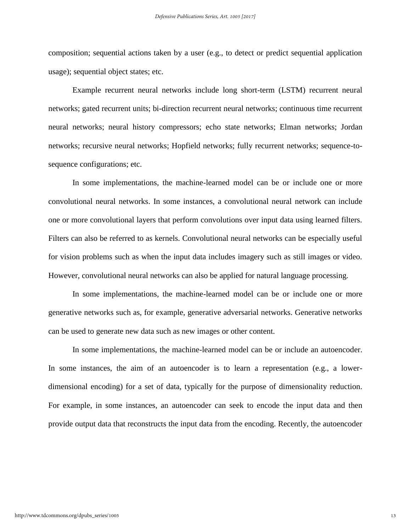composition; sequential actions taken by a user (e.g., to detect or predict sequential application usage); sequential object states; etc.

Example recurrent neural networks include long short-term (LSTM) recurrent neural networks; gated recurrent units; bi-direction recurrent neural networks; continuous time recurrent neural networks; neural history compressors; echo state networks; Elman networks; Jordan networks; recursive neural networks; Hopfield networks; fully recurrent networks; sequence-tosequence configurations; etc.

In some implementations, the machine-learned model can be or include one or more convolutional neural networks. In some instances, a convolutional neural network can include one or more convolutional layers that perform convolutions over input data using learned filters. Filters can also be referred to as kernels. Convolutional neural networks can be especially useful for vision problems such as when the input data includes imagery such as still images or video. However, convolutional neural networks can also be applied for natural language processing.

In some implementations, the machine-learned model can be or include one or more generative networks such as, for example, generative adversarial networks. Generative networks can be used to generate new data such as new images or other content.

In some implementations, the machine-learned model can be or include an autoencoder. In some instances, the aim of an autoencoder is to learn a representation (e.g., a lowerdimensional encoding) for a set of data, typically for the purpose of dimensionality reduction. For example, in some instances, an autoencoder can seek to encode the input data and then provide output data that reconstructs the input data from the encoding. Recently, the autoencoder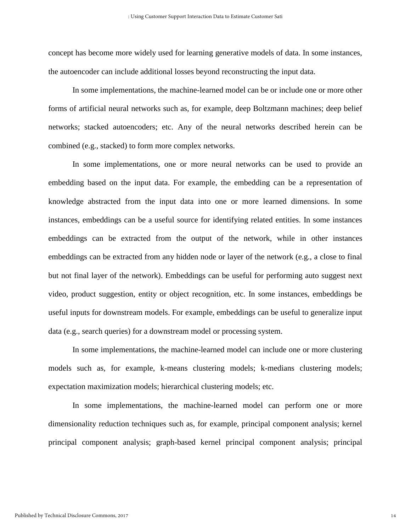concept has become more widely used for learning generative models of data. In some instances, the autoencoder can include additional losses beyond reconstructing the input data.

In some implementations, the machine-learned model can be or include one or more other forms of artificial neural networks such as, for example, deep Boltzmann machines; deep belief networks; stacked autoencoders; etc. Any of the neural networks described herein can be combined (e.g., stacked) to form more complex networks.

In some implementations, one or more neural networks can be used to provide an embedding based on the input data. For example, the embedding can be a representation of knowledge abstracted from the input data into one or more learned dimensions. In some instances, embeddings can be a useful source for identifying related entities. In some instances embeddings can be extracted from the output of the network, while in other instances embeddings can be extracted from any hidden node or layer of the network (e.g., a close to final but not final layer of the network). Embeddings can be useful for performing auto suggest next video, product suggestion, entity or object recognition, etc. In some instances, embeddings be useful inputs for downstream models. For example, embeddings can be useful to generalize input data (e.g., search queries) for a downstream model or processing system.

In some implementations, the machine-learned model can include one or more clustering models such as, for example, k-means clustering models; k-medians clustering models; expectation maximization models; hierarchical clustering models; etc.

In some implementations, the machine-learned model can perform one or more dimensionality reduction techniques such as, for example, principal component analysis; kernel principal component analysis; graph-based kernel principal component analysis; principal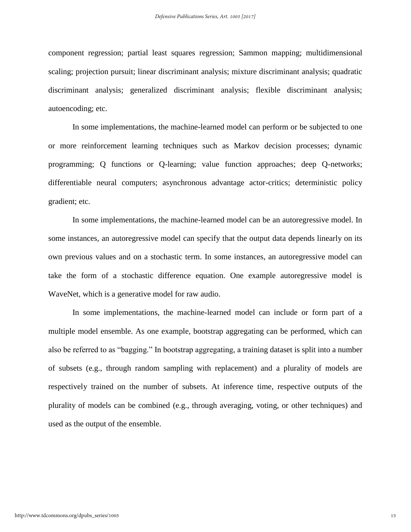component regression; partial least squares regression; Sammon mapping; multidimensional scaling; projection pursuit; linear discriminant analysis; mixture discriminant analysis; quadratic discriminant analysis; generalized discriminant analysis; flexible discriminant analysis; autoencoding; etc.

In some implementations, the machine-learned model can perform or be subjected to one or more reinforcement learning techniques such as Markov decision processes; dynamic programming; Q functions or Q-learning; value function approaches; deep Q-networks; differentiable neural computers; asynchronous advantage actor-critics; deterministic policy gradient; etc.

In some implementations, the machine-learned model can be an autoregressive model. In some instances, an autoregressive model can specify that the output data depends linearly on its own previous values and on a stochastic term. In some instances, an autoregressive model can take the form of a stochastic difference equation. One example autoregressive model is WaveNet, which is a generative model for raw audio.

In some implementations, the machine-learned model can include or form part of a multiple model ensemble. As one example, bootstrap aggregating can be performed, which can also be referred to as "bagging." In bootstrap aggregating, a training dataset is split into a number of subsets (e.g., through random sampling with replacement) and a plurality of models are respectively trained on the number of subsets. At inference time, respective outputs of the plurality of models can be combined (e.g., through averaging, voting, or other techniques) and used as the output of the ensemble.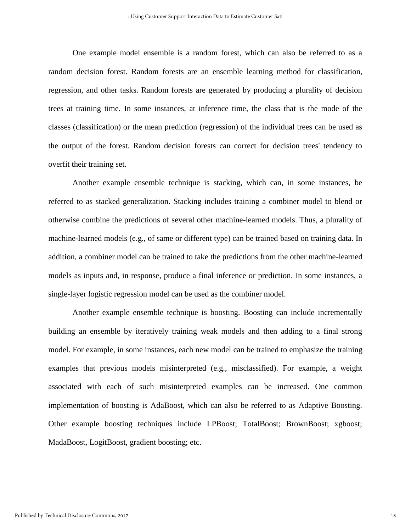One example model ensemble is a random forest, which can also be referred to as a random decision forest. Random forests are an ensemble learning method for classification, regression, and other tasks. Random forests are generated by producing a plurality of decision trees at training time. In some instances, at inference time, the class that is the mode of the classes (classification) or the mean prediction (regression) of the individual trees can be used as the output of the forest. Random decision forests can correct for decision trees' tendency to overfit their training set.

Another example ensemble technique is stacking, which can, in some instances, be referred to as stacked generalization. Stacking includes training a combiner model to blend or otherwise combine the predictions of several other machine-learned models. Thus, a plurality of machine-learned models (e.g., of same or different type) can be trained based on training data. In addition, a combiner model can be trained to take the predictions from the other machine-learned models as inputs and, in response, produce a final inference or prediction. In some instances, a single-layer logistic regression model can be used as the combiner model.

Another example ensemble technique is boosting. Boosting can include incrementally building an ensemble by iteratively training weak models and then adding to a final strong model. For example, in some instances, each new model can be trained to emphasize the training examples that previous models misinterpreted (e.g., misclassified). For example, a weight associated with each of such misinterpreted examples can be increased. One common implementation of boosting is AdaBoost, which can also be referred to as Adaptive Boosting. Other example boosting techniques include LPBoost; TotalBoost; BrownBoost; xgboost; MadaBoost, LogitBoost, gradient boosting; etc.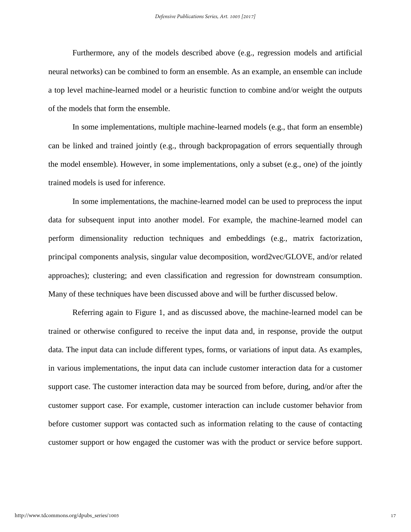Furthermore, any of the models described above (e.g., regression models and artificial neural networks) can be combined to form an ensemble. As an example, an ensemble can include a top level machine-learned model or a heuristic function to combine and/or weight the outputs of the models that form the ensemble.

In some implementations, multiple machine-learned models (e.g., that form an ensemble) can be linked and trained jointly (e.g., through backpropagation of errors sequentially through the model ensemble). However, in some implementations, only a subset (e.g., one) of the jointly trained models is used for inference.

In some implementations, the machine-learned model can be used to preprocess the input data for subsequent input into another model. For example, the machine-learned model can perform dimensionality reduction techniques and embeddings (e.g., matrix factorization, principal components analysis, singular value decomposition, word2vec/GLOVE, and/or related approaches); clustering; and even classification and regression for downstream consumption. Many of these techniques have been discussed above and will be further discussed below.

Referring again to Figure 1, and as discussed above, the machine-learned model can be trained or otherwise configured to receive the input data and, in response, provide the output data. The input data can include different types, forms, or variations of input data. As examples, in various implementations, the input data can include customer interaction data for a customer support case. The customer interaction data may be sourced from before, during, and/or after the customer support case. For example, customer interaction can include customer behavior from before customer support was contacted such as information relating to the cause of contacting customer support or how engaged the customer was with the product or service before support.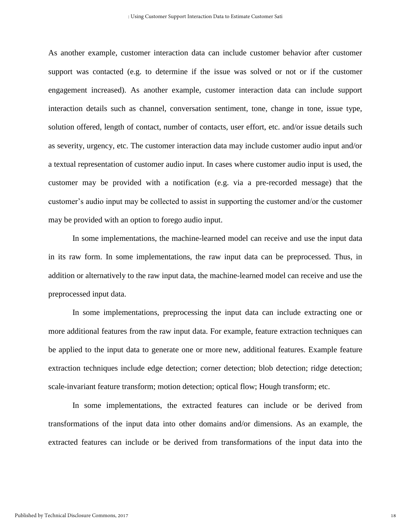As another example, customer interaction data can include customer behavior after customer support was contacted (e.g. to determine if the issue was solved or not or if the customer engagement increased). As another example, customer interaction data can include support interaction details such as channel, conversation sentiment, tone, change in tone, issue type, solution offered, length of contact, number of contacts, user effort, etc. and/or issue details such as severity, urgency, etc. The customer interaction data may include customer audio input and/or a textual representation of customer audio input. In cases where customer audio input is used, the customer may be provided with a notification (e.g. via a pre-recorded message) that the customer's audio input may be collected to assist in supporting the customer and/or the customer may be provided with an option to forego audio input.

In some implementations, the machine-learned model can receive and use the input data in its raw form. In some implementations, the raw input data can be preprocessed. Thus, in addition or alternatively to the raw input data, the machine-learned model can receive and use the preprocessed input data.

In some implementations, preprocessing the input data can include extracting one or more additional features from the raw input data. For example, feature extraction techniques can be applied to the input data to generate one or more new, additional features. Example feature extraction techniques include edge detection; corner detection; blob detection; ridge detection; scale-invariant feature transform; motion detection; optical flow; Hough transform; etc.

In some implementations, the extracted features can include or be derived from transformations of the input data into other domains and/or dimensions. As an example, the extracted features can include or be derived from transformations of the input data into the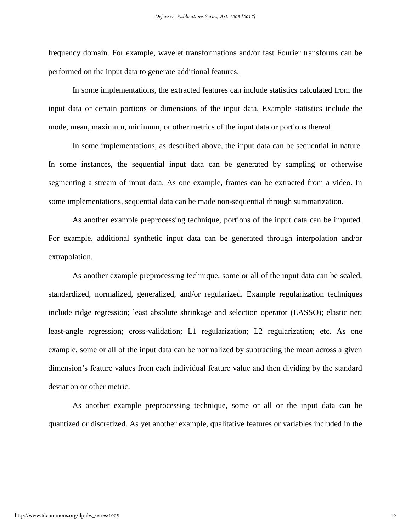frequency domain. For example, wavelet transformations and/or fast Fourier transforms can be performed on the input data to generate additional features.

In some implementations, the extracted features can include statistics calculated from the input data or certain portions or dimensions of the input data. Example statistics include the mode, mean, maximum, minimum, or other metrics of the input data or portions thereof.

In some implementations, as described above, the input data can be sequential in nature. In some instances, the sequential input data can be generated by sampling or otherwise segmenting a stream of input data. As one example, frames can be extracted from a video. In some implementations, sequential data can be made non-sequential through summarization.

As another example preprocessing technique, portions of the input data can be imputed. For example, additional synthetic input data can be generated through interpolation and/or extrapolation.

As another example preprocessing technique, some or all of the input data can be scaled, standardized, normalized, generalized, and/or regularized. Example regularization techniques include ridge regression; least absolute shrinkage and selection operator (LASSO); elastic net; least-angle regression; cross-validation; L1 regularization; L2 regularization; etc. As one example, some or all of the input data can be normalized by subtracting the mean across a given dimension's feature values from each individual feature value and then dividing by the standard deviation or other metric.

As another example preprocessing technique, some or all or the input data can be quantized or discretized. As yet another example, qualitative features or variables included in the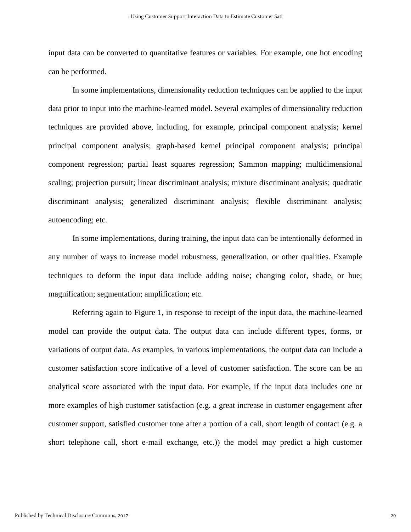input data can be converted to quantitative features or variables. For example, one hot encoding can be performed.

In some implementations, dimensionality reduction techniques can be applied to the input data prior to input into the machine-learned model. Several examples of dimensionality reduction techniques are provided above, including, for example, principal component analysis; kernel principal component analysis; graph-based kernel principal component analysis; principal component regression; partial least squares regression; Sammon mapping; multidimensional scaling; projection pursuit; linear discriminant analysis; mixture discriminant analysis; quadratic discriminant analysis; generalized discriminant analysis; flexible discriminant analysis; autoencoding; etc.

In some implementations, during training, the input data can be intentionally deformed in any number of ways to increase model robustness, generalization, or other qualities. Example techniques to deform the input data include adding noise; changing color, shade, or hue; magnification; segmentation; amplification; etc.

Referring again to Figure 1, in response to receipt of the input data, the machine-learned model can provide the output data. The output data can include different types, forms, or variations of output data. As examples, in various implementations, the output data can include a customer satisfaction score indicative of a level of customer satisfaction. The score can be an analytical score associated with the input data. For example, if the input data includes one or more examples of high customer satisfaction (e.g. a great increase in customer engagement after customer support, satisfied customer tone after a portion of a call, short length of contact (e.g. a short telephone call, short e-mail exchange, etc.)) the model may predict a high customer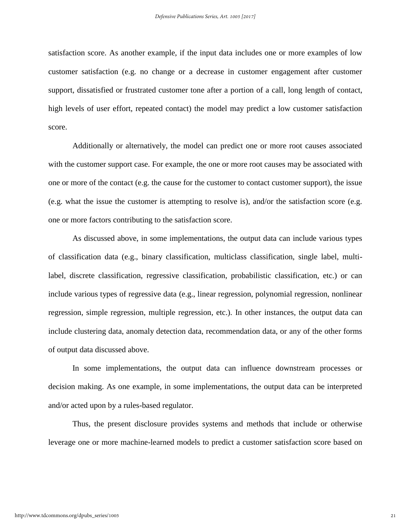satisfaction score. As another example, if the input data includes one or more examples of low customer satisfaction (e.g. no change or a decrease in customer engagement after customer support, dissatisfied or frustrated customer tone after a portion of a call, long length of contact, high levels of user effort, repeated contact) the model may predict a low customer satisfaction score.

Additionally or alternatively, the model can predict one or more root causes associated with the customer support case. For example, the one or more root causes may be associated with one or more of the contact (e.g. the cause for the customer to contact customer support), the issue (e.g. what the issue the customer is attempting to resolve is), and/or the satisfaction score (e.g. one or more factors contributing to the satisfaction score.

As discussed above, in some implementations, the output data can include various types of classification data (e.g., binary classification, multiclass classification, single label, multilabel, discrete classification, regressive classification, probabilistic classification, etc.) or can include various types of regressive data (e.g., linear regression, polynomial regression, nonlinear regression, simple regression, multiple regression, etc.). In other instances, the output data can include clustering data, anomaly detection data, recommendation data, or any of the other forms of output data discussed above.

In some implementations, the output data can influence downstream processes or decision making. As one example, in some implementations, the output data can be interpreted and/or acted upon by a rules-based regulator.

Thus, the present disclosure provides systems and methods that include or otherwise leverage one or more machine-learned models to predict a customer satisfaction score based on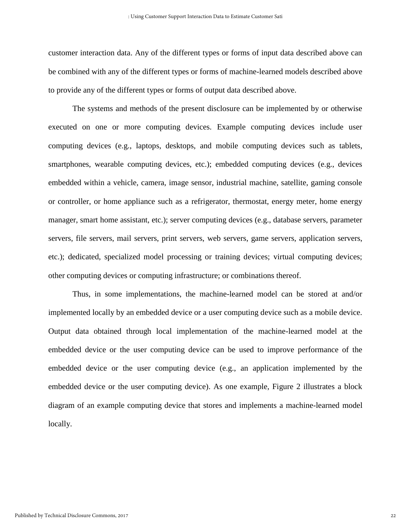customer interaction data. Any of the different types or forms of input data described above can be combined with any of the different types or forms of machine-learned models described above to provide any of the different types or forms of output data described above.

The systems and methods of the present disclosure can be implemented by or otherwise executed on one or more computing devices. Example computing devices include user computing devices (e.g., laptops, desktops, and mobile computing devices such as tablets, smartphones, wearable computing devices, etc.); embedded computing devices (e.g., devices embedded within a vehicle, camera, image sensor, industrial machine, satellite, gaming console or controller, or home appliance such as a refrigerator, thermostat, energy meter, home energy manager, smart home assistant, etc.); server computing devices (e.g., database servers, parameter servers, file servers, mail servers, print servers, web servers, game servers, application servers, etc.); dedicated, specialized model processing or training devices; virtual computing devices; other computing devices or computing infrastructure; or combinations thereof.

Thus, in some implementations, the machine-learned model can be stored at and/or implemented locally by an embedded device or a user computing device such as a mobile device. Output data obtained through local implementation of the machine-learned model at the embedded device or the user computing device can be used to improve performance of the embedded device or the user computing device (e.g., an application implemented by the embedded device or the user computing device). As one example, Figure 2 illustrates a block diagram of an example computing device that stores and implements a machine-learned model locally.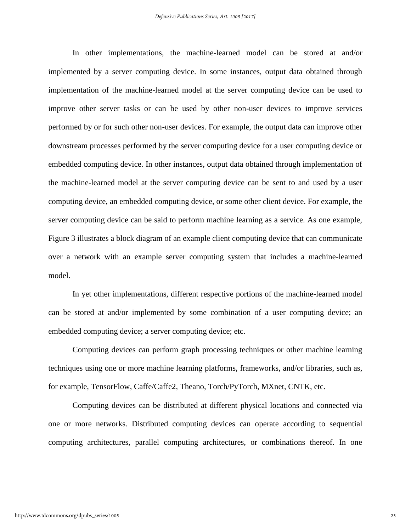In other implementations, the machine-learned model can be stored at and/or implemented by a server computing device. In some instances, output data obtained through implementation of the machine-learned model at the server computing device can be used to improve other server tasks or can be used by other non-user devices to improve services performed by or for such other non-user devices. For example, the output data can improve other downstream processes performed by the server computing device for a user computing device or embedded computing device. In other instances, output data obtained through implementation of the machine-learned model at the server computing device can be sent to and used by a user computing device, an embedded computing device, or some other client device. For example, the server computing device can be said to perform machine learning as a service. As one example, Figure 3 illustrates a block diagram of an example client computing device that can communicate over a network with an example server computing system that includes a machine-learned model.

In yet other implementations, different respective portions of the machine-learned model can be stored at and/or implemented by some combination of a user computing device; an embedded computing device; a server computing device; etc.

Computing devices can perform graph processing techniques or other machine learning techniques using one or more machine learning platforms, frameworks, and/or libraries, such as, for example, TensorFlow, Caffe/Caffe2, Theano, Torch/PyTorch, MXnet, CNTK, etc.

Computing devices can be distributed at different physical locations and connected via one or more networks. Distributed computing devices can operate according to sequential computing architectures, parallel computing architectures, or combinations thereof. In one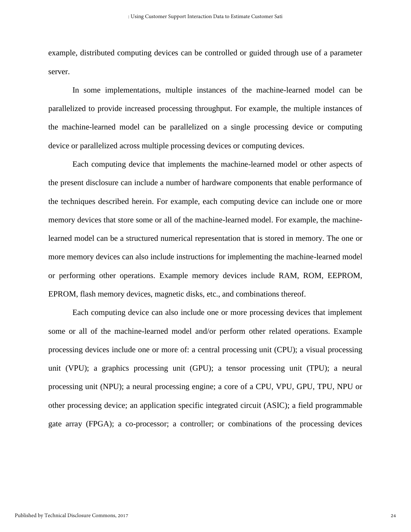example, distributed computing devices can be controlled or guided through use of a parameter server.

In some implementations, multiple instances of the machine-learned model can be parallelized to provide increased processing throughput. For example, the multiple instances of the machine-learned model can be parallelized on a single processing device or computing device or parallelized across multiple processing devices or computing devices.

Each computing device that implements the machine-learned model or other aspects of the present disclosure can include a number of hardware components that enable performance of the techniques described herein. For example, each computing device can include one or more memory devices that store some or all of the machine-learned model. For example, the machinelearned model can be a structured numerical representation that is stored in memory. The one or more memory devices can also include instructions for implementing the machine-learned model or performing other operations. Example memory devices include RAM, ROM, EEPROM, EPROM, flash memory devices, magnetic disks, etc., and combinations thereof.

Each computing device can also include one or more processing devices that implement some or all of the machine-learned model and/or perform other related operations. Example processing devices include one or more of: a central processing unit (CPU); a visual processing unit (VPU); a graphics processing unit (GPU); a tensor processing unit (TPU); a neural processing unit (NPU); a neural processing engine; a core of a CPU, VPU, GPU, TPU, NPU or other processing device; an application specific integrated circuit (ASIC); a field programmable gate array (FPGA); a co-processor; a controller; or combinations of the processing devices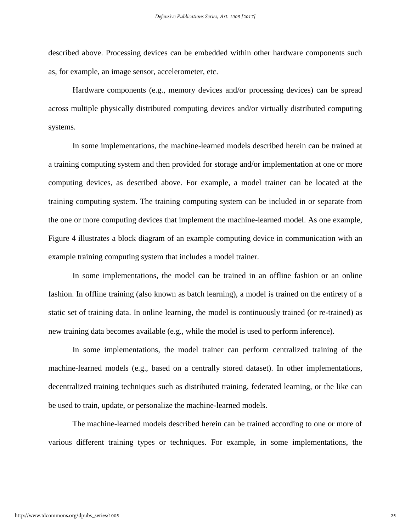described above. Processing devices can be embedded within other hardware components such as, for example, an image sensor, accelerometer, etc.

Hardware components (e.g., memory devices and/or processing devices) can be spread across multiple physically distributed computing devices and/or virtually distributed computing systems.

In some implementations, the machine-learned models described herein can be trained at a training computing system and then provided for storage and/or implementation at one or more computing devices, as described above. For example, a model trainer can be located at the training computing system. The training computing system can be included in or separate from the one or more computing devices that implement the machine-learned model. As one example, Figure 4 illustrates a block diagram of an example computing device in communication with an example training computing system that includes a model trainer.

In some implementations, the model can be trained in an offline fashion or an online fashion. In offline training (also known as batch learning), a model is trained on the entirety of a static set of training data. In online learning, the model is continuously trained (or re-trained) as new training data becomes available (e.g., while the model is used to perform inference).

In some implementations, the model trainer can perform centralized training of the machine-learned models (e.g., based on a centrally stored dataset). In other implementations, decentralized training techniques such as distributed training, federated learning, or the like can be used to train, update, or personalize the machine-learned models.

The machine-learned models described herein can be trained according to one or more of various different training types or techniques. For example, in some implementations, the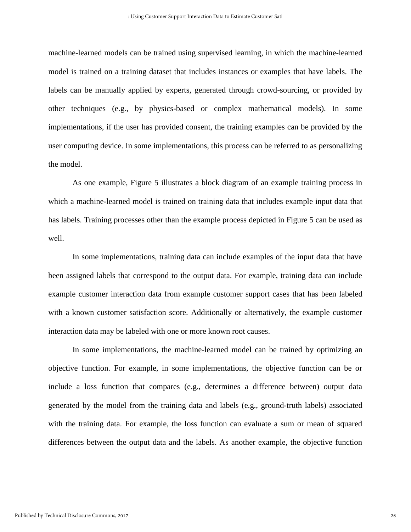machine-learned models can be trained using supervised learning, in which the machine-learned model is trained on a training dataset that includes instances or examples that have labels. The labels can be manually applied by experts, generated through crowd-sourcing, or provided by other techniques (e.g., by physics-based or complex mathematical models). In some implementations, if the user has provided consent, the training examples can be provided by the user computing device. In some implementations, this process can be referred to as personalizing the model.

As one example, Figure 5 illustrates a block diagram of an example training process in which a machine-learned model is trained on training data that includes example input data that has labels. Training processes other than the example process depicted in Figure 5 can be used as well.

In some implementations, training data can include examples of the input data that have been assigned labels that correspond to the output data. For example, training data can include example customer interaction data from example customer support cases that has been labeled with a known customer satisfaction score. Additionally or alternatively, the example customer interaction data may be labeled with one or more known root causes.

In some implementations, the machine-learned model can be trained by optimizing an objective function. For example, in some implementations, the objective function can be or include a loss function that compares (e.g., determines a difference between) output data generated by the model from the training data and labels (e.g., ground-truth labels) associated with the training data. For example, the loss function can evaluate a sum or mean of squared differences between the output data and the labels. As another example, the objective function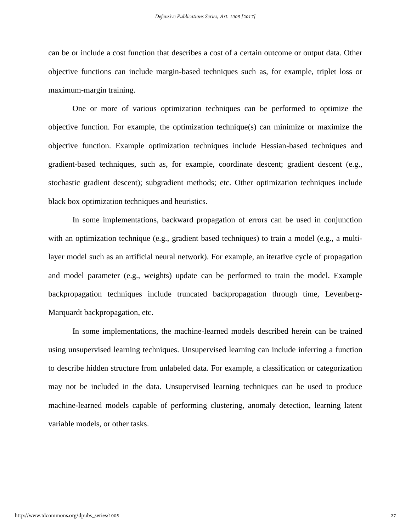can be or include a cost function that describes a cost of a certain outcome or output data. Other objective functions can include margin-based techniques such as, for example, triplet loss or maximum-margin training.

One or more of various optimization techniques can be performed to optimize the objective function. For example, the optimization technique(s) can minimize or maximize the objective function. Example optimization techniques include Hessian-based techniques and gradient-based techniques, such as, for example, coordinate descent; gradient descent (e.g., stochastic gradient descent); subgradient methods; etc. Other optimization techniques include black box optimization techniques and heuristics.

In some implementations, backward propagation of errors can be used in conjunction with an optimization technique (e.g., gradient based techniques) to train a model (e.g., a multilayer model such as an artificial neural network). For example, an iterative cycle of propagation and model parameter (e.g., weights) update can be performed to train the model. Example backpropagation techniques include truncated backpropagation through time, Levenberg-Marquardt backpropagation, etc.

In some implementations, the machine-learned models described herein can be trained using unsupervised learning techniques. Unsupervised learning can include inferring a function to describe hidden structure from unlabeled data. For example, a classification or categorization may not be included in the data. Unsupervised learning techniques can be used to produce machine-learned models capable of performing clustering, anomaly detection, learning latent variable models, or other tasks.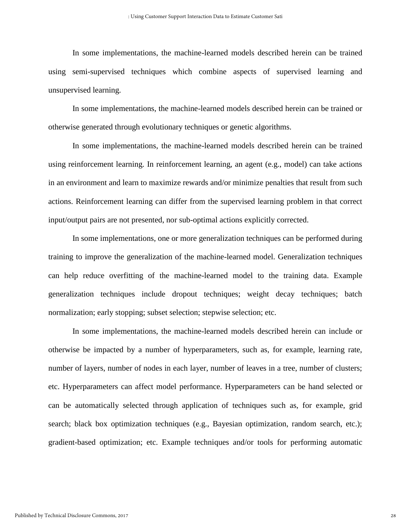In some implementations, the machine-learned models described herein can be trained using semi-supervised techniques which combine aspects of supervised learning and unsupervised learning.

In some implementations, the machine-learned models described herein can be trained or otherwise generated through evolutionary techniques or genetic algorithms.

In some implementations, the machine-learned models described herein can be trained using reinforcement learning. In reinforcement learning, an agent (e.g., model) can take actions in an environment and learn to maximize rewards and/or minimize penalties that result from such actions. Reinforcement learning can differ from the supervised learning problem in that correct input/output pairs are not presented, nor sub-optimal actions explicitly corrected.

In some implementations, one or more generalization techniques can be performed during training to improve the generalization of the machine-learned model. Generalization techniques can help reduce overfitting of the machine-learned model to the training data. Example generalization techniques include dropout techniques; weight decay techniques; batch normalization; early stopping; subset selection; stepwise selection; etc.

In some implementations, the machine-learned models described herein can include or otherwise be impacted by a number of hyperparameters, such as, for example, learning rate, number of layers, number of nodes in each layer, number of leaves in a tree, number of clusters; etc. Hyperparameters can affect model performance. Hyperparameters can be hand selected or can be automatically selected through application of techniques such as, for example, grid search; black box optimization techniques (e.g., Bayesian optimization, random search, etc.); gradient-based optimization; etc. Example techniques and/or tools for performing automatic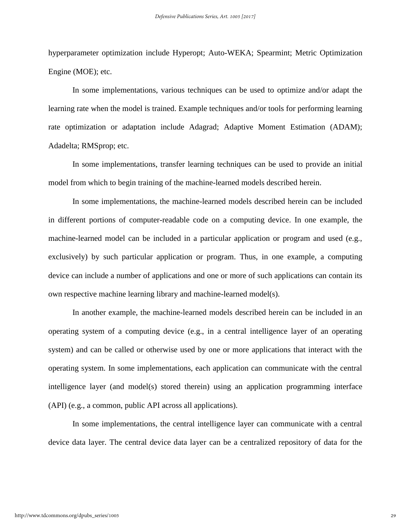hyperparameter optimization include Hyperopt; Auto-WEKA; Spearmint; Metric Optimization Engine (MOE); etc.

In some implementations, various techniques can be used to optimize and/or adapt the learning rate when the model is trained. Example techniques and/or tools for performing learning rate optimization or adaptation include Adagrad; Adaptive Moment Estimation (ADAM); Adadelta; RMSprop; etc.

In some implementations, transfer learning techniques can be used to provide an initial model from which to begin training of the machine-learned models described herein.

In some implementations, the machine-learned models described herein can be included in different portions of computer-readable code on a computing device. In one example, the machine-learned model can be included in a particular application or program and used (e.g., exclusively) by such particular application or program. Thus, in one example, a computing device can include a number of applications and one or more of such applications can contain its own respective machine learning library and machine-learned model(s).

In another example, the machine-learned models described herein can be included in an operating system of a computing device (e.g., in a central intelligence layer of an operating system) and can be called or otherwise used by one or more applications that interact with the operating system. In some implementations, each application can communicate with the central intelligence layer (and model(s) stored therein) using an application programming interface (API) (e.g., a common, public API across all applications).

In some implementations, the central intelligence layer can communicate with a central device data layer. The central device data layer can be a centralized repository of data for the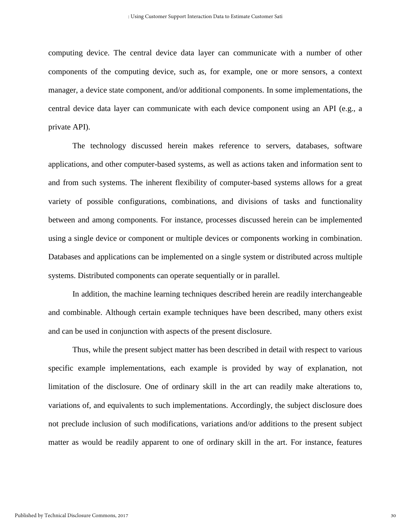computing device. The central device data layer can communicate with a number of other components of the computing device, such as, for example, one or more sensors, a context manager, a device state component, and/or additional components. In some implementations, the central device data layer can communicate with each device component using an API (e.g., a private API).

The technology discussed herein makes reference to servers, databases, software applications, and other computer-based systems, as well as actions taken and information sent to and from such systems. The inherent flexibility of computer-based systems allows for a great variety of possible configurations, combinations, and divisions of tasks and functionality between and among components. For instance, processes discussed herein can be implemented using a single device or component or multiple devices or components working in combination. Databases and applications can be implemented on a single system or distributed across multiple systems. Distributed components can operate sequentially or in parallel.

In addition, the machine learning techniques described herein are readily interchangeable and combinable. Although certain example techniques have been described, many others exist and can be used in conjunction with aspects of the present disclosure.

Thus, while the present subject matter has been described in detail with respect to various specific example implementations, each example is provided by way of explanation, not limitation of the disclosure. One of ordinary skill in the art can readily make alterations to, variations of, and equivalents to such implementations. Accordingly, the subject disclosure does not preclude inclusion of such modifications, variations and/or additions to the present subject matter as would be readily apparent to one of ordinary skill in the art. For instance, features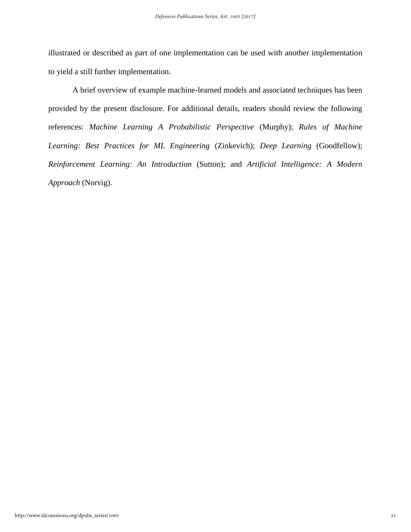illustrated or described as part of one implementation can be used with another implementation to yield a still further implementation.

A brief overview of example machine-learned models and associated techniques has been provided by the present disclosure. For additional details, readers should review the following references: *Machine Learning A Probabilistic Perspective* (Murphy); *Rules of Machine Learning: Best Practices for ML Engineering* (Zinkevich); *Deep Learning* (Goodfellow); *Reinforcement Learning: An Introduction* (Sutton); and *Artificial Intelligence: A Modern Approach* (Norvig).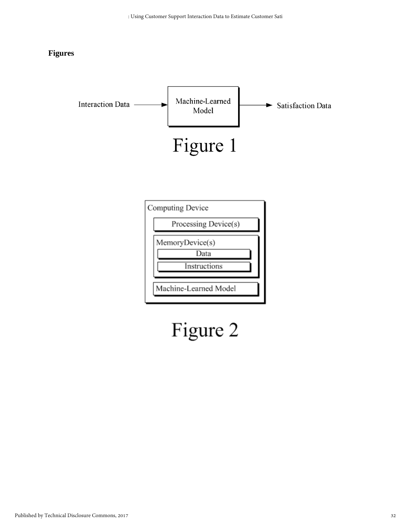#### **Figures**



# Figure 2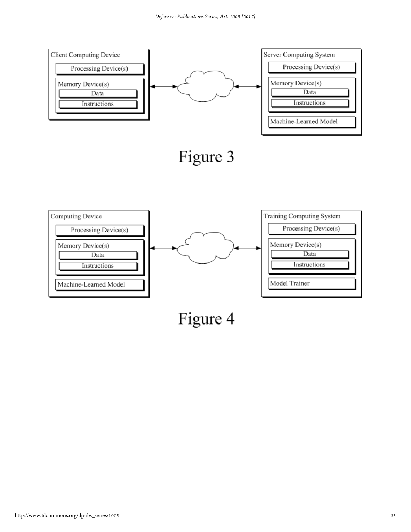

Figure 4

Model Trainer

Machine-Learned Model